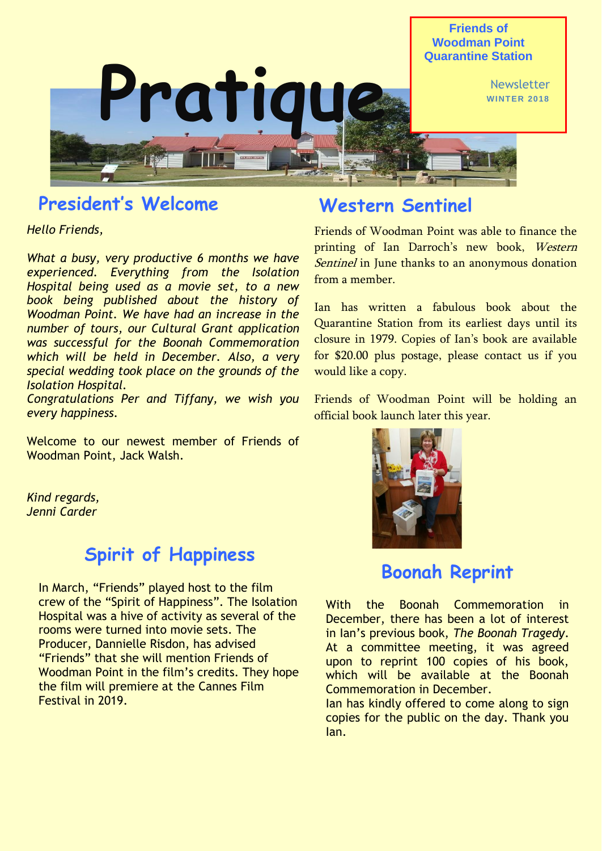

# **President's Welcome**

*Hello Friends,*

*What a busy, very productive 6 months we have experienced. Everything from the Isolation Hospital being used as a movie set, to a new book being published about the history of Woodman Point. We have had an increase in the number of tours, our Cultural Grant application was successful for the Boonah Commemoration which will be held in December. Also, a very special wedding took place on the grounds of the Isolation Hospital.*

*Congratulations Per and Tiffany, we wish you every happiness.*

Welcome to our newest member of Friends of Woodman Point, Jack Walsh.

*Kind regards, Jenni Carder*

### **Spirit of Happiness**

In March, "Friends" played host to the film crew of the "Spirit of Happiness". The Isolation Hospital was a hive of activity as several of the rooms were turned into movie sets. The Producer, Dannielle Risdon, has advised "Friends" that she will mention Friends of Woodman Point in the film's credits. They hope the film will premiere at the Cannes Film Festival in 2019.

#### **Western Sentinel**

Friends of Woodman Point was able to finance the printing of Ian Darroch's new book, Western Sentinel in June thanks to an anonymous donation from a member.

Ian has written a fabulous book about the Quarantine Station from its earliest days until its closure in 1979. Copies of Ian's book are available for \$20.00 plus postage, please contact us if you would like a copy.

Friends of Woodman Point will be holding an official book launch later this year.



## **Boonah Reprint**

With the Boonah Commemoration in December, there has been a lot of interest in Ian's previous book, *The Boonah Tragedy*. At a committee meeting, it was agreed upon to reprint 100 copies of his book, which will be available at the Boonah Commemoration in December.

Ian has kindly offered to come along to sign copies for the public on the day. Thank you Ian.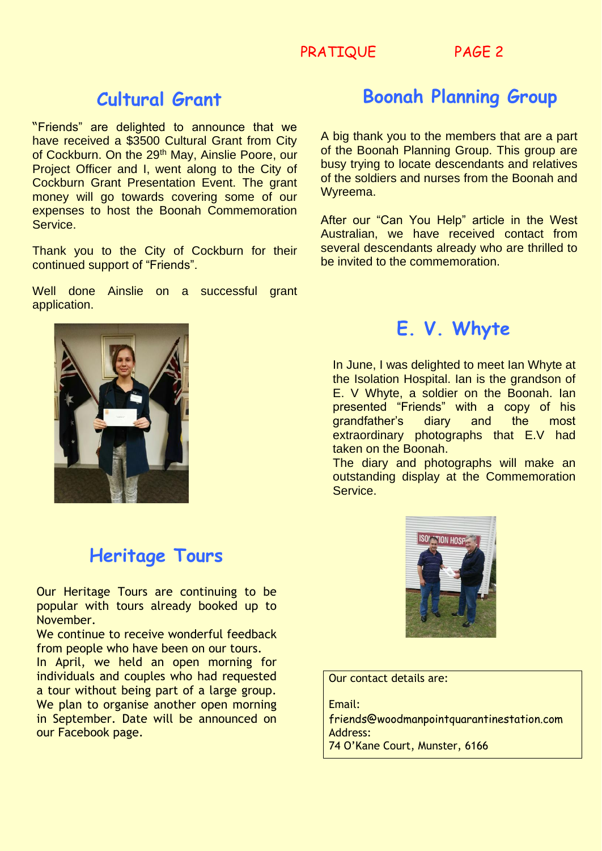PRATIQUE PAGE 2

#### **Cultural Grant**

"Friends" are delighted to announce that we have received a \$3500 Cultural Grant from City of Cockburn. On the 29<sup>th</sup> May, Ainslie Poore, our Project Officer and I, went along to the City of Cockburn Grant Presentation Event. The grant money will go towards covering some of our expenses to host the Boonah Commemoration Service.

Thank you to the City of Cockburn for their continued support of "Friends".

Well done Ainslie on a successful grant application.

# **Boonah Planning Group**

A big thank you to the members that are a part of the Boonah Planning Group. This group are busy trying to locate descendants and relatives of the soldiers and nurses from the Boonah and Wyreema.

After our "Can You Help" article in the West Australian, we have received contact from several descendants already who are thrilled to be invited to the commemoration.



### **Heritage Tours**

Our Heritage Tours are continuing to be popular with tours already booked up to November.

We continue to receive wonderful feedback from people who have been on our tours.

In April, we held an open morning for individuals and couples who had requested a tour without being part of a large group. We plan to organise another open morning in September. Date will be announced on our Facebook page.

## **E. V. Whyte**

In June, I was delighted to meet Ian Whyte at the Isolation Hospital. Ian is the grandson of E. V Whyte, a soldier on the Boonah. Ian presented "Friends" with a copy of his grandfather's diary and the most extraordinary photographs that E.V had taken on the Boonah.

The diary and photographs will make an outstanding display at the Commemoration Service.



Our contact details are:

Email: friends@woodmanpointquarantinestation.com Address: 74 O'Kane Court, Munster, 6166